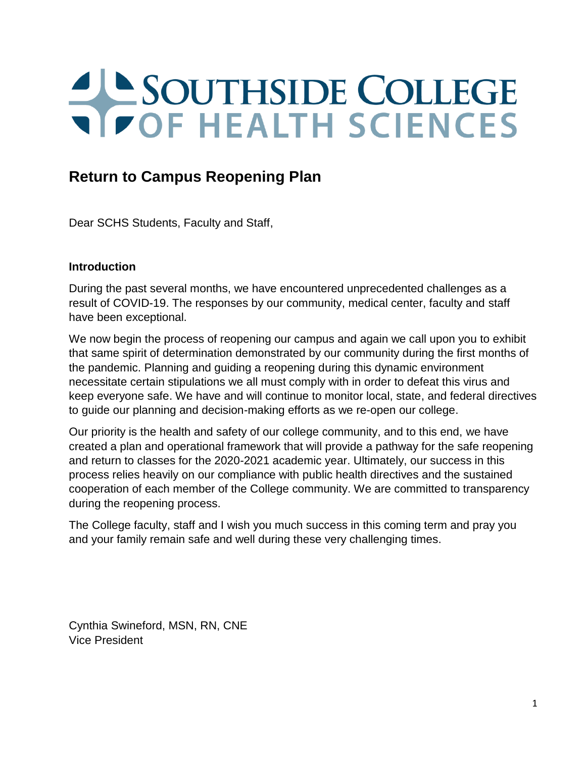# SOUTHSIDE COLLEGE

# **Return to Campus Reopening Plan**

Dear SCHS Students, Faculty and Staff,

## **Introduction**

During the past several months, we have encountered unprecedented challenges as a result of COVID-19. The responses by our community, medical center, faculty and staff have been exceptional.

We now begin the process of reopening our campus and again we call upon you to exhibit that same spirit of determination demonstrated by our community during the first months of the pandemic. Planning and guiding a reopening during this dynamic environment necessitate certain stipulations we all must comply with in order to defeat this virus and keep everyone safe. We have and will continue to monitor local, state, and federal directives to guide our planning and decision-making efforts as we re-open our college.

Our priority is the health and safety of our college community, and to this end, we have created a plan and operational framework that will provide a pathway for the safe reopening and return to classes for the 2020-2021 academic year. Ultimately, our success in this process relies heavily on our compliance with public health directives and the sustained cooperation of each member of the College community. We are committed to transparency during the reopening process.

The College faculty, staff and I wish you much success in this coming term and pray you and your family remain safe and well during these very challenging times.

Cynthia Swineford, MSN, RN, CNE Vice President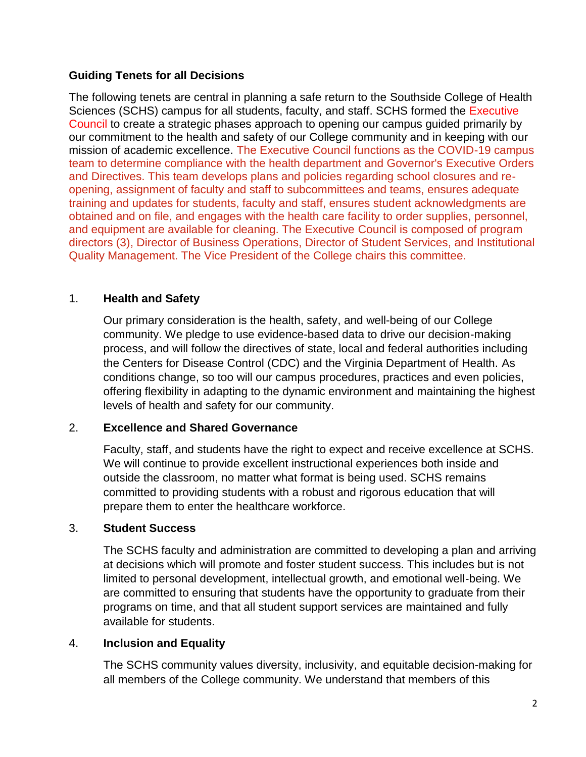## **Guiding Tenets for all Decisions**

The following tenets are central in planning a safe return to the Southside College of Health Sciences (SCHS) campus for all students, faculty, and staff. SCHS formed the Executive Council to create a strategic phases approach to opening our campus guided primarily by our commitment to the health and safety of our College community and in keeping with our mission of academic excellence. The Executive Council functions as the COVID-19 campus team to determine compliance with the health department and Governor's Executive Orders and Directives. This team develops plans and policies regarding school closures and reopening, assignment of faculty and staff to subcommittees and teams, ensures adequate training and updates for students, faculty and staff, ensures student acknowledgments are obtained and on file, and engages with the health care facility to order supplies, personnel, and equipment are available for cleaning. The Executive Council is composed of program directors (3), Director of Business Operations, Director of Student Services, and Institutional Quality Management. The Vice President of the College chairs this committee.

## 1. **Health and Safety**

Our primary consideration is the health, safety, and well-being of our College community. We pledge to use evidence-based data to drive our decision-making process, and will follow the directives of state, local and federal authorities including the Centers for Disease Control (CDC) and the Virginia Department of Health. As conditions change, so too will our campus procedures, practices and even policies, offering flexibility in adapting to the dynamic environment and maintaining the highest levels of health and safety for our community.

## 2. **Excellence and Shared Governance**

Faculty, staff, and students have the right to expect and receive excellence at SCHS. We will continue to provide excellent instructional experiences both inside and outside the classroom, no matter what format is being used. SCHS remains committed to providing students with a robust and rigorous education that will prepare them to enter the healthcare workforce.

## 3. **Student Success**

The SCHS faculty and administration are committed to developing a plan and arriving at decisions which will promote and foster student success. This includes but is not limited to personal development, intellectual growth, and emotional well-being. We are committed to ensuring that students have the opportunity to graduate from their programs on time, and that all student support services are maintained and fully available for students.

## 4. **Inclusion and Equality**

The SCHS community values diversity, inclusivity, and equitable decision-making for all members of the College community. We understand that members of this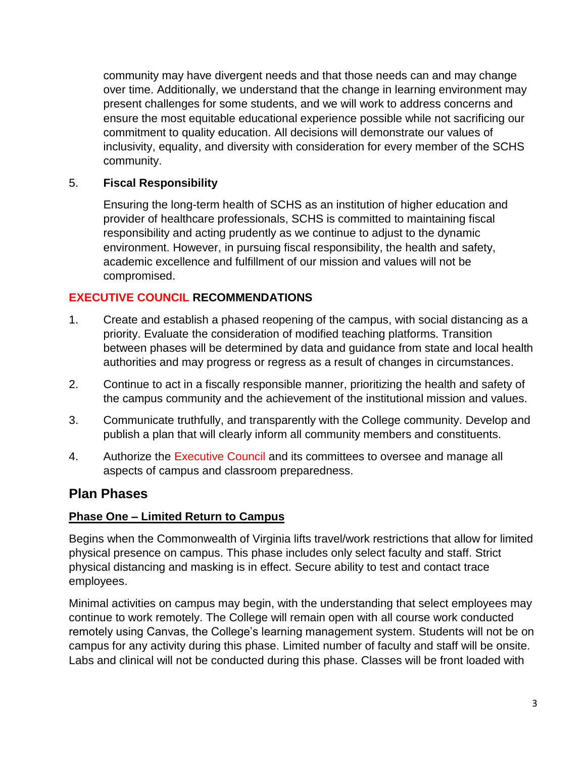community may have divergent needs and that those needs can and may change over time. Additionally, we understand that the change in learning environment may present challenges for some students, and we will work to address concerns and ensure the most equitable educational experience possible while not sacrificing our commitment to quality education. All decisions will demonstrate our values of inclusivity, equality, and diversity with consideration for every member of the SCHS community.

## 5. **Fiscal Responsibility**

Ensuring the long-term health of SCHS as an institution of higher education and provider of healthcare professionals, SCHS is committed to maintaining fiscal responsibility and acting prudently as we continue to adjust to the dynamic environment. However, in pursuing fiscal responsibility, the health and safety, academic excellence and fulfillment of our mission and values will not be compromised.

## **EXECUTIVE COUNCIL RECOMMENDATIONS**

- 1. Create and establish a phased reopening of the campus, with social distancing as a priority. Evaluate the consideration of modified teaching platforms. Transition between phases will be determined by data and guidance from state and local health authorities and may progress or regress as a result of changes in circumstances.
- 2. Continue to act in a fiscally responsible manner, prioritizing the health and safety of the campus community and the achievement of the institutional mission and values.
- 3. Communicate truthfully, and transparently with the College community. Develop and publish a plan that will clearly inform all community members and constituents.
- 4. Authorize the Executive Council and its committees to oversee and manage all aspects of campus and classroom preparedness.

## **Plan Phases**

## **Phase One – Limited Return to Campus**

Begins when the Commonwealth of Virginia lifts travel/work restrictions that allow for limited physical presence on campus. This phase includes only select faculty and staff. Strict physical distancing and masking is in effect. Secure ability to test and contact trace employees.

Minimal activities on campus may begin, with the understanding that select employees may continue to work remotely. The College will remain open with all course work conducted remotely using Canvas, the College's learning management system. Students will not be on campus for any activity during this phase. Limited number of faculty and staff will be onsite. Labs and clinical will not be conducted during this phase. Classes will be front loaded with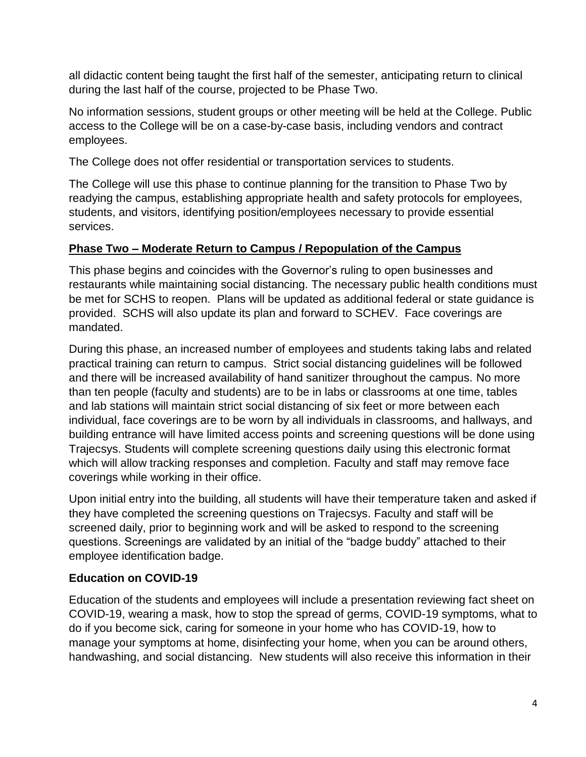all didactic content being taught the first half of the semester, anticipating return to clinical during the last half of the course, projected to be Phase Two.

No information sessions, student groups or other meeting will be held at the College. Public access to the College will be on a case-by-case basis, including vendors and contract employees.

The College does not offer residential or transportation services to students.

The College will use this phase to continue planning for the transition to Phase Two by readying the campus, establishing appropriate health and safety protocols for employees, students, and visitors, identifying position/employees necessary to provide essential services.

## **Phase Two – Moderate Return to Campus / Repopulation of the Campus**

This phase begins and coincides with the Governor's ruling to open businesses and restaurants while maintaining social distancing. The necessary public health conditions must be met for SCHS to reopen. Plans will be updated as additional federal or state guidance is provided. SCHS will also update its plan and forward to SCHEV. Face coverings are mandated.

During this phase, an increased number of employees and students taking labs and related practical training can return to campus. Strict social distancing guidelines will be followed and there will be increased availability of hand sanitizer throughout the campus. No more than ten people (faculty and students) are to be in labs or classrooms at one time, tables and lab stations will maintain strict social distancing of six feet or more between each individual, face coverings are to be worn by all individuals in classrooms, and hallways, and building entrance will have limited access points and screening questions will be done using Trajecsys. Students will complete screening questions daily using this electronic format which will allow tracking responses and completion. Faculty and staff may remove face coverings while working in their office.

Upon initial entry into the building, all students will have their temperature taken and asked if they have completed the screening questions on Trajecsys. Faculty and staff will be screened daily, prior to beginning work and will be asked to respond to the screening questions. Screenings are validated by an initial of the "badge buddy" attached to their employee identification badge.

## **Education on COVID-19**

Education of the students and employees will include a presentation reviewing fact sheet on COVID-19, wearing a mask, how to stop the spread of germs, COVID-19 symptoms, what to do if you become sick, caring for someone in your home who has COVID-19, how to manage your symptoms at home, disinfecting your home, when you can be around others, handwashing, and social distancing. New students will also receive this information in their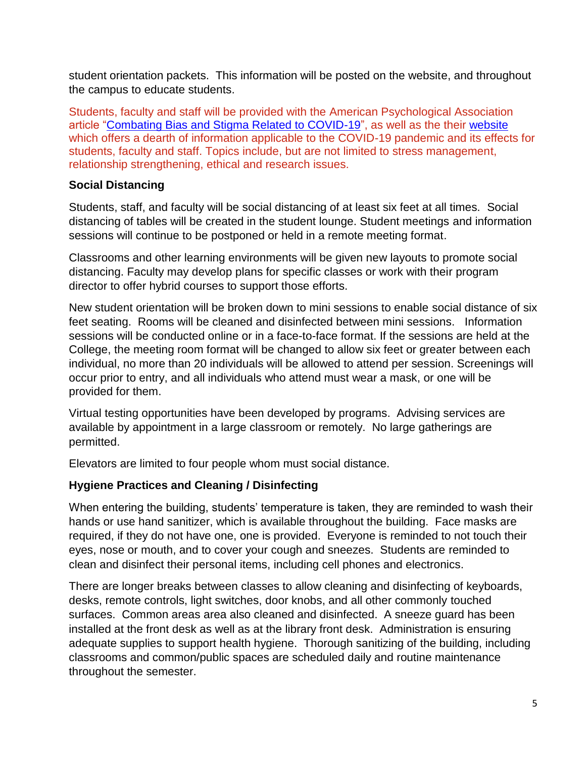student orientation packets. This information will be posted on the website, and throughout the campus to educate students.

Students, faculty and staff will be provided with the American Psychological Association article ["Combating Bias and Stigma Related to COVID-19"](https://www.apa.org/topics/covid-19-bias), as well as the their [website](https://www.apa.org/topics/covid-19) which offers a dearth of information applicable to the COVID-19 pandemic and its effects for students, faculty and staff. Topics include, but are not limited to stress management, relationship strengthening, ethical and research issues.

## **Social Distancing**

Students, staff, and faculty will be social distancing of at least six feet at all times. Social distancing of tables will be created in the student lounge. Student meetings and information sessions will continue to be postponed or held in a remote meeting format.

Classrooms and other learning environments will be given new layouts to promote social distancing. Faculty may develop plans for specific classes or work with their program director to offer hybrid courses to support those efforts.

New student orientation will be broken down to mini sessions to enable social distance of six feet seating. Rooms will be cleaned and disinfected between mini sessions. Information sessions will be conducted online or in a face-to-face format. If the sessions are held at the College, the meeting room format will be changed to allow six feet or greater between each individual, no more than 20 individuals will be allowed to attend per session. Screenings will occur prior to entry, and all individuals who attend must wear a mask, or one will be provided for them.

Virtual testing opportunities have been developed by programs. Advising services are available by appointment in a large classroom or remotely. No large gatherings are permitted.

Elevators are limited to four people whom must social distance.

## **Hygiene Practices and Cleaning / Disinfecting**

When entering the building, students' temperature is taken, they are reminded to wash their hands or use hand sanitizer, which is available throughout the building. Face masks are required, if they do not have one, one is provided. Everyone is reminded to not touch their eyes, nose or mouth, and to cover your cough and sneezes. Students are reminded to clean and disinfect their personal items, including cell phones and electronics.

There are longer breaks between classes to allow cleaning and disinfecting of keyboards, desks, remote controls, light switches, door knobs, and all other commonly touched surfaces. Common areas area also cleaned and disinfected. A sneeze guard has been installed at the front desk as well as at the library front desk. Administration is ensuring adequate supplies to support health hygiene. Thorough sanitizing of the building, including classrooms and common/public spaces are scheduled daily and routine maintenance throughout the semester.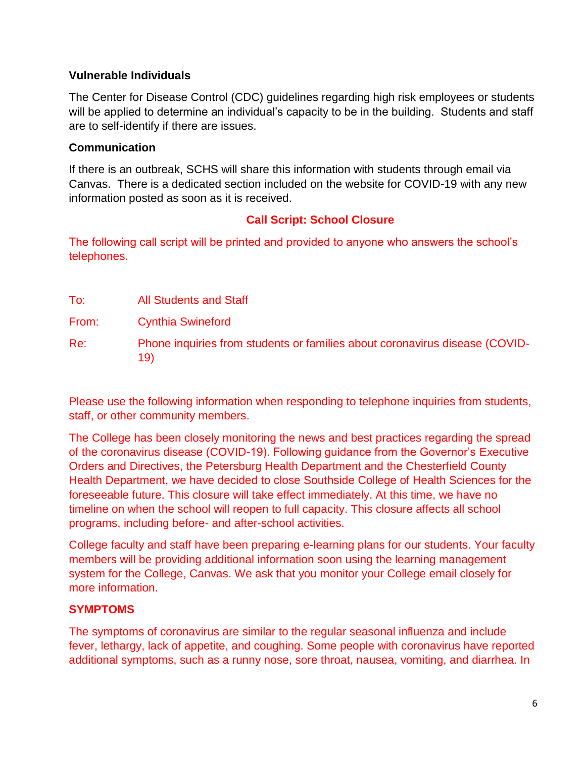## **Vulnerable Individuals**

The Center for Disease Control (CDC) guidelines regarding high risk employees or students will be applied to determine an individual's capacity to be in the building. Students and staff are to self-identify if there are issues.

## **Communication**

If there is an outbreak, SCHS will share this information with students through email via Canvas. There is a dedicated section included on the website for COVID-19 with any new information posted as soon as it is received.

## **Call Script: School Closure**

The following call script will be printed and provided to anyone who answers the school's telephones.

| To:   | <b>All Students and Staff</b>                                                      |
|-------|------------------------------------------------------------------------------------|
| From: | <b>Cynthia Swineford</b>                                                           |
| Re:   | Phone inquiries from students or families about coronavirus disease (COVID-<br>19) |

Please use the following information when responding to telephone inquiries from students, staff, or other community members.

The College has been closely monitoring the news and best practices regarding the spread of the coronavirus disease (COVID-19). Following guidance from the Governor's Executive Orders and Directives, the Petersburg Health Department and the Chesterfield County Health Department, we have decided to close Southside College of Health Sciences for the foreseeable future. This closure will take effect immediately. At this time, we have no timeline on when the school will reopen to full capacity. This closure affects all school programs, including before- and after-school activities.

College faculty and staff have been preparing e-learning plans for our students. Your faculty members will be providing additional information soon using the learning management system for the College, Canvas. We ask that you monitor your College email closely for more information.

## **SYMPTOMS**

The symptoms of coronavirus are similar to the regular seasonal influenza and include fever, lethargy, lack of appetite, and coughing. Some people with coronavirus have reported additional symptoms, such as a runny nose, sore throat, nausea, vomiting, and diarrhea. In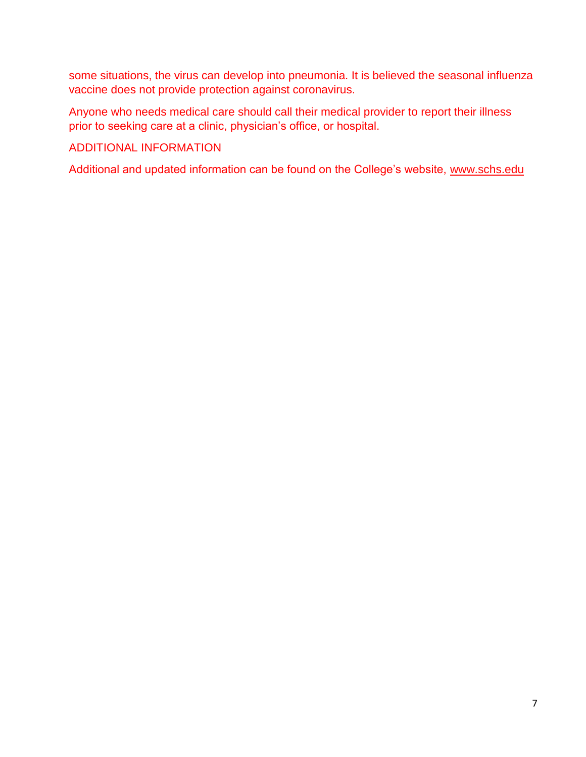some situations, the virus can develop into pneumonia. It is believed the seasonal influenza vaccine does not provide protection against coronavirus.

Anyone who needs medical care should call their medical provider to report their illness prior to seeking care at a clinic, physician's office, or hospital.

## ADDITIONAL INFORMATION

Additional and updated information can be found on the College's website, [www.schs.edu](http://www.schs.edu/)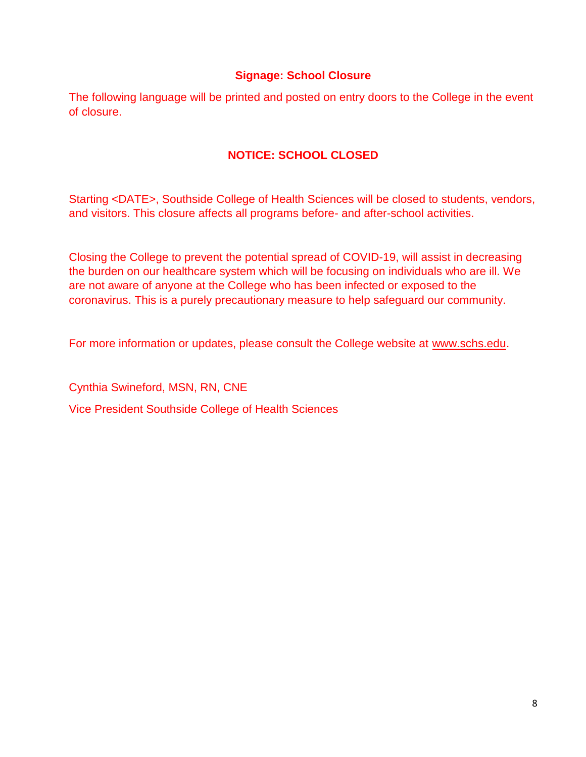## **Signage: School Closure**

The following language will be printed and posted on entry doors to the College in the event of closure.

## **NOTICE: SCHOOL CLOSED**

Starting <DATE>, Southside College of Health Sciences will be closed to students, vendors, and visitors. This closure affects all programs before- and after-school activities.

Closing the College to prevent the potential spread of COVID-19, will assist in decreasing the burden on our healthcare system which will be focusing on individuals who are ill. We are not aware of anyone at the College who has been infected or exposed to the coronavirus. This is a purely precautionary measure to help safeguard our community.

For more information or updates, please consult the College website at [www.schs.edu.](http://www.schs.edu/)

Cynthia Swineford, MSN, RN, CNE

Vice President Southside College of Health Sciences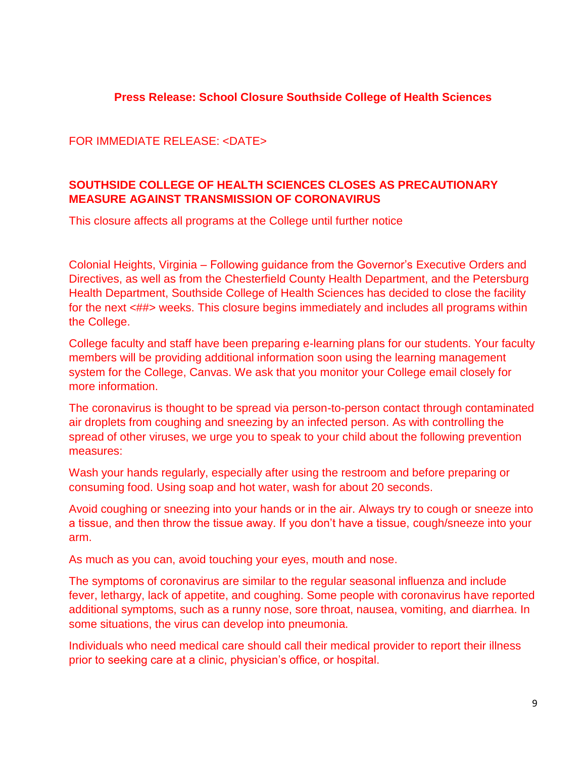## **Press Release: School Closure Southside College of Health Sciences**

FOR IMMEDIATE RELEASE: <DATE>

## **SOUTHSIDE COLLEGE OF HEALTH SCIENCES CLOSES AS PRECAUTIONARY MEASURE AGAINST TRANSMISSION OF CORONAVIRUS**

This closure affects all programs at the College until further notice

Colonial Heights, Virginia – Following guidance from the Governor's Executive Orders and Directives, as well as from the Chesterfield County Health Department, and the Petersburg Health Department, Southside College of Health Sciences has decided to close the facility for the next  $\langle #\# \rangle$  weeks. This closure begins immediately and includes all programs within the College.

College faculty and staff have been preparing e-learning plans for our students. Your faculty members will be providing additional information soon using the learning management system for the College, Canvas. We ask that you monitor your College email closely for more information.

The coronavirus is thought to be spread via person-to-person contact through contaminated air droplets from coughing and sneezing by an infected person. As with controlling the spread of other viruses, we urge you to speak to your child about the following prevention measures:

Wash your hands regularly, especially after using the restroom and before preparing or consuming food. Using soap and hot water, wash for about 20 seconds.

Avoid coughing or sneezing into your hands or in the air. Always try to cough or sneeze into a tissue, and then throw the tissue away. If you don't have a tissue, cough/sneeze into your arm.

As much as you can, avoid touching your eyes, mouth and nose.

The symptoms of coronavirus are similar to the regular seasonal influenza and include fever, lethargy, lack of appetite, and coughing. Some people with coronavirus have reported additional symptoms, such as a runny nose, sore throat, nausea, vomiting, and diarrhea. In some situations, the virus can develop into pneumonia.

Individuals who need medical care should call their medical provider to report their illness prior to seeking care at a clinic, physician's office, or hospital.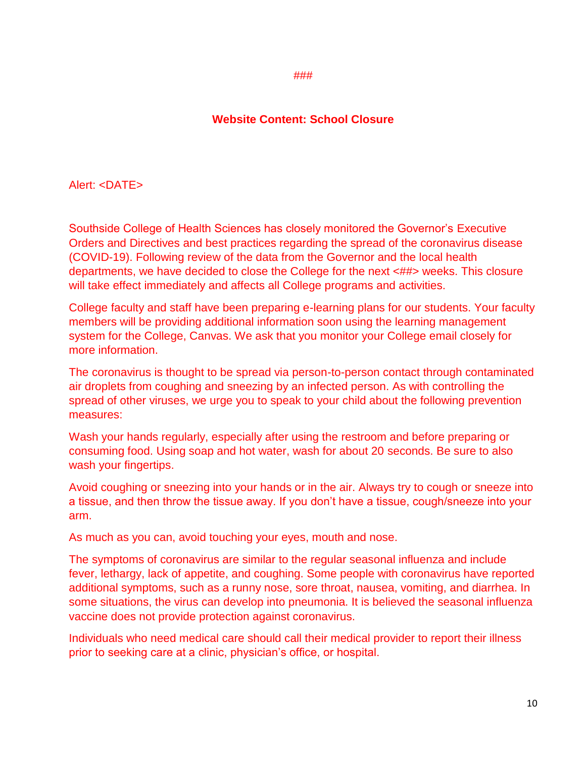#### ###

### **Website Content: School Closure**

#### Alert: <DATE>

Southside College of Health Sciences has closely monitored the Governor's Executive Orders and Directives and best practices regarding the spread of the coronavirus disease (COVID-19). Following review of the data from the Governor and the local health departments, we have decided to close the College for the next <##> weeks. This closure will take effect immediately and affects all College programs and activities.

College faculty and staff have been preparing e-learning plans for our students. Your faculty members will be providing additional information soon using the learning management system for the College, Canvas. We ask that you monitor your College email closely for more information.

The coronavirus is thought to be spread via person-to-person contact through contaminated air droplets from coughing and sneezing by an infected person. As with controlling the spread of other viruses, we urge you to speak to your child about the following prevention measures:

Wash your hands regularly, especially after using the restroom and before preparing or consuming food. Using soap and hot water, wash for about 20 seconds. Be sure to also wash your fingertips.

Avoid coughing or sneezing into your hands or in the air. Always try to cough or sneeze into a tissue, and then throw the tissue away. If you don't have a tissue, cough/sneeze into your arm.

As much as you can, avoid touching your eyes, mouth and nose.

The symptoms of coronavirus are similar to the regular seasonal influenza and include fever, lethargy, lack of appetite, and coughing. Some people with coronavirus have reported additional symptoms, such as a runny nose, sore throat, nausea, vomiting, and diarrhea. In some situations, the virus can develop into pneumonia. It is believed the seasonal influenza vaccine does not provide protection against coronavirus.

Individuals who need medical care should call their medical provider to report their illness prior to seeking care at a clinic, physician's office, or hospital.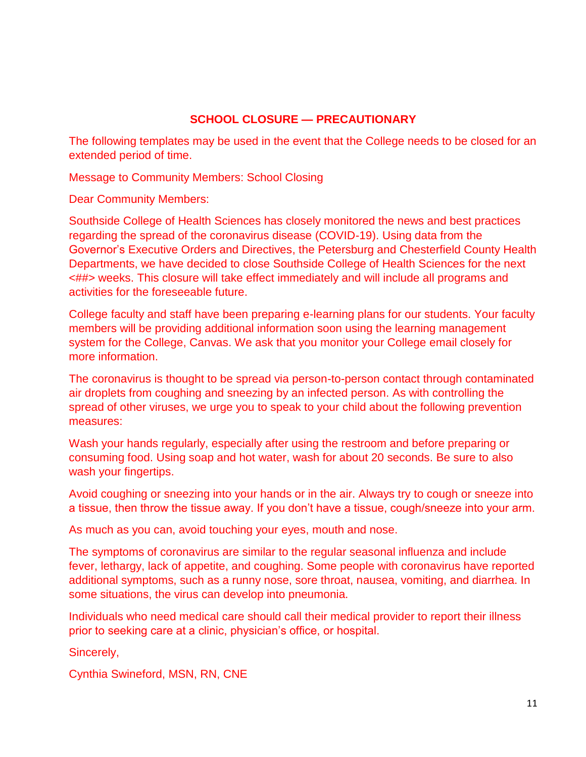## **SCHOOL CLOSURE — PRECAUTIONARY**

The following templates may be used in the event that the College needs to be closed for an extended period of time.

Message to Community Members: School Closing

Dear Community Members:

Southside College of Health Sciences has closely monitored the news and best practices regarding the spread of the coronavirus disease (COVID-19). Using data from the Governor's Executive Orders and Directives, the Petersburg and Chesterfield County Health Departments, we have decided to close Southside College of Health Sciences for the next <##> weeks. This closure will take effect immediately and will include all programs and activities for the foreseeable future.

College faculty and staff have been preparing e-learning plans for our students. Your faculty members will be providing additional information soon using the learning management system for the College, Canvas. We ask that you monitor your College email closely for more information.

The coronavirus is thought to be spread via person-to-person contact through contaminated air droplets from coughing and sneezing by an infected person. As with controlling the spread of other viruses, we urge you to speak to your child about the following prevention measures:

Wash your hands regularly, especially after using the restroom and before preparing or consuming food. Using soap and hot water, wash for about 20 seconds. Be sure to also wash your fingertips.

Avoid coughing or sneezing into your hands or in the air. Always try to cough or sneeze into a tissue, then throw the tissue away. If you don't have a tissue, cough/sneeze into your arm.

As much as you can, avoid touching your eyes, mouth and nose.

The symptoms of coronavirus are similar to the regular seasonal influenza and include fever, lethargy, lack of appetite, and coughing. Some people with coronavirus have reported additional symptoms, such as a runny nose, sore throat, nausea, vomiting, and diarrhea. In some situations, the virus can develop into pneumonia.

Individuals who need medical care should call their medical provider to report their illness prior to seeking care at a clinic, physician's office, or hospital.

Sincerely,

Cynthia Swineford, MSN, RN, CNE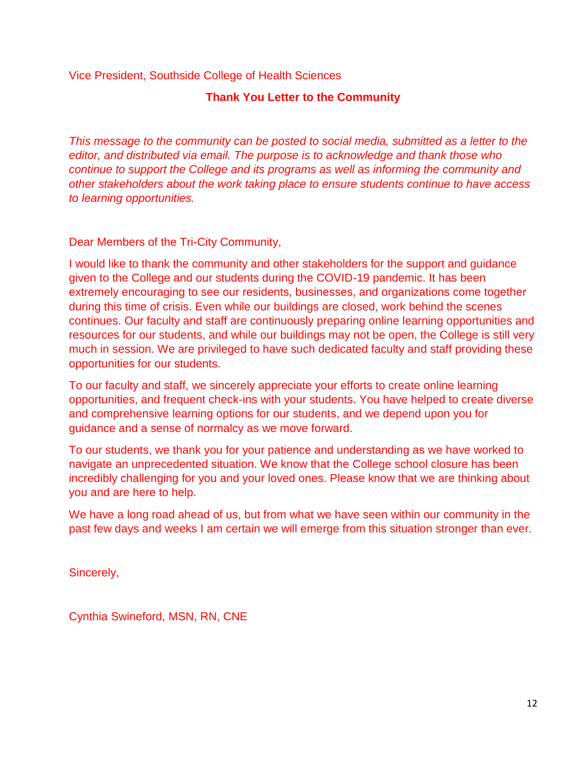## Vice President, Southside College of Health Sciences

## **Thank You Letter to the Community**

*This message to the community can be posted to social media, submitted as a letter to the editor, and distributed via email. The purpose is to acknowledge and thank those who continue to support the College and its programs as well as informing the community and other stakeholders about the work taking place to ensure students continue to have access to learning opportunities.* 

## Dear Members of the Tri-City Community,

I would like to thank the community and other stakeholders for the support and guidance given to the College and our students during the COVID-19 pandemic. It has been extremely encouraging to see our residents, businesses, and organizations come together during this time of crisis. Even while our buildings are closed, work behind the scenes continues. Our faculty and staff are continuously preparing online learning opportunities and resources for our students, and while our buildings may not be open, the College is still very much in session. We are privileged to have such dedicated faculty and staff providing these opportunities for our students.

To our faculty and staff, we sincerely appreciate your efforts to create online learning opportunities, and frequent check-ins with your students. You have helped to create diverse and comprehensive learning options for our students, and we depend upon you for guidance and a sense of normalcy as we move forward.

To our students, we thank you for your patience and understanding as we have worked to navigate an unprecedented situation. We know that the College school closure has been incredibly challenging for you and your loved ones. Please know that we are thinking about you and are here to help.

We have a long road ahead of us, but from what we have seen within our community in the past few days and weeks I am certain we will emerge from this situation stronger than ever.

Sincerely,

Cynthia Swineford, MSN, RN, CNE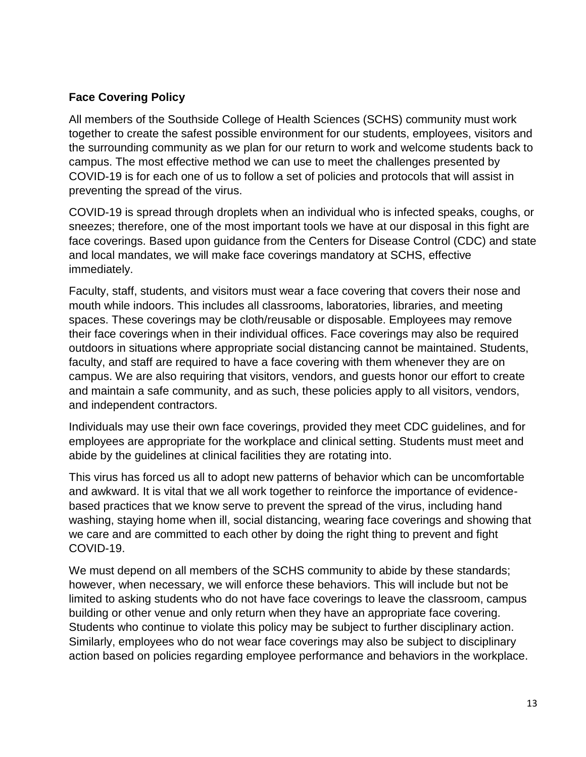## **Face Covering Policy**

All members of the Southside College of Health Sciences (SCHS) community must work together to create the safest possible environment for our students, employees, visitors and the surrounding community as we plan for our return to work and welcome students back to campus. The most effective method we can use to meet the challenges presented by COVID-19 is for each one of us to follow a set of policies and protocols that will assist in preventing the spread of the virus.

COVID-19 is spread through droplets when an individual who is infected speaks, coughs, or sneezes; therefore, one of the most important tools we have at our disposal in this fight are face coverings. Based upon guidance from the Centers for Disease Control (CDC) and state and local mandates, we will make face coverings mandatory at SCHS, effective immediately.

Faculty, staff, students, and visitors must wear a face covering that covers their nose and mouth while indoors. This includes all classrooms, laboratories, libraries, and meeting spaces. These coverings may be cloth/reusable or disposable. Employees may remove their face coverings when in their individual offices. Face coverings may also be required outdoors in situations where appropriate social distancing cannot be maintained. Students, faculty, and staff are required to have a face covering with them whenever they are on campus. We are also requiring that visitors, vendors, and guests honor our effort to create and maintain a safe community, and as such, these policies apply to all visitors, vendors, and independent contractors.

Individuals may use their own face coverings, provided they meet CDC guidelines, and for employees are appropriate for the workplace and clinical setting. Students must meet and abide by the guidelines at clinical facilities they are rotating into.

This virus has forced us all to adopt new patterns of behavior which can be uncomfortable and awkward. It is vital that we all work together to reinforce the importance of evidencebased practices that we know serve to prevent the spread of the virus, including hand washing, staying home when ill, social distancing, wearing face coverings and showing that we care and are committed to each other by doing the right thing to prevent and fight COVID-19.

We must depend on all members of the SCHS community to abide by these standards; however, when necessary, we will enforce these behaviors. This will include but not be limited to asking students who do not have face coverings to leave the classroom, campus building or other venue and only return when they have an appropriate face covering. Students who continue to violate this policy may be subject to further disciplinary action. Similarly, employees who do not wear face coverings may also be subject to disciplinary action based on policies regarding employee performance and behaviors in the workplace.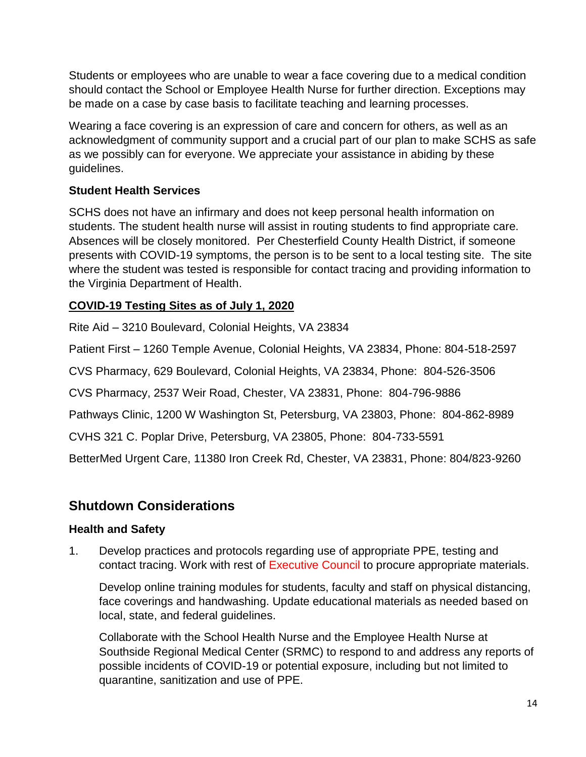Students or employees who are unable to wear a face covering due to a medical condition should contact the School or Employee Health Nurse for further direction. Exceptions may be made on a case by case basis to facilitate teaching and learning processes.

Wearing a face covering is an expression of care and concern for others, as well as an acknowledgment of community support and a crucial part of our plan to make SCHS as safe as we possibly can for everyone. We appreciate your assistance in abiding by these guidelines.

## **Student Health Services**

SCHS does not have an infirmary and does not keep personal health information on students. The student health nurse will assist in routing students to find appropriate care. Absences will be closely monitored. Per Chesterfield County Health District, if someone presents with COVID-19 symptoms, the person is to be sent to a local testing site. The site where the student was tested is responsible for contact tracing and providing information to the Virginia Department of Health.

## **COVID-19 Testing Sites as of July 1, 2020**

Rite Aid – 3210 Boulevard, Colonial Heights, VA 23834

Patient First – 1260 Temple Avenue, Colonial Heights, VA 23834, Phone: 804-518-2597

CVS Pharmacy, 629 Boulevard, Colonial Heights, VA 23834, Phone: 804-526-3506

CVS Pharmacy, 2537 Weir Road, Chester, VA 23831, Phone: 804-796-9886

Pathways Clinic, 1200 W Washington St, Petersburg, VA 23803, Phone: 804-862-8989

CVHS 321 C. Poplar Drive, Petersburg, VA 23805, Phone: 804-733-5591

BetterMed Urgent Care, 11380 Iron Creek Rd, Chester, VA 23831, Phone: 804/823-9260

# **Shutdown Considerations**

## **Health and Safety**

1. Develop practices and protocols regarding use of appropriate PPE, testing and contact tracing. Work with rest of Executive Council to procure appropriate materials.

Develop online training modules for students, faculty and staff on physical distancing, face coverings and handwashing. Update educational materials as needed based on local, state, and federal guidelines.

Collaborate with the School Health Nurse and the Employee Health Nurse at Southside Regional Medical Center (SRMC) to respond to and address any reports of possible incidents of COVID-19 or potential exposure, including but not limited to quarantine, sanitization and use of PPE.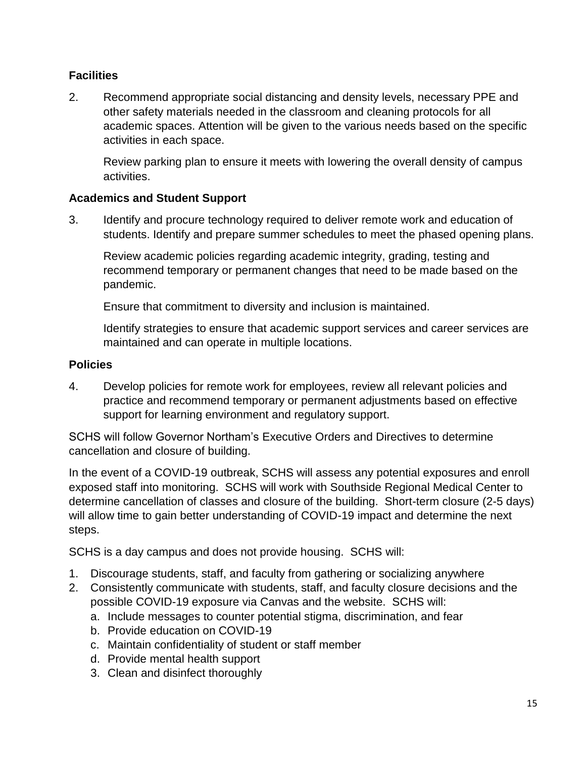## **Facilities**

2. Recommend appropriate social distancing and density levels, necessary PPE and other safety materials needed in the classroom and cleaning protocols for all academic spaces. Attention will be given to the various needs based on the specific activities in each space.

Review parking plan to ensure it meets with lowering the overall density of campus activities.

## **Academics and Student Support**

3. Identify and procure technology required to deliver remote work and education of students. Identify and prepare summer schedules to meet the phased opening plans.

Review academic policies regarding academic integrity, grading, testing and recommend temporary or permanent changes that need to be made based on the pandemic.

Ensure that commitment to diversity and inclusion is maintained.

Identify strategies to ensure that academic support services and career services are maintained and can operate in multiple locations.

## **Policies**

4. Develop policies for remote work for employees, review all relevant policies and practice and recommend temporary or permanent adjustments based on effective support for learning environment and regulatory support.

SCHS will follow Governor Northam's Executive Orders and Directives to determine cancellation and closure of building.

In the event of a COVID-19 outbreak, SCHS will assess any potential exposures and enroll exposed staff into monitoring. SCHS will work with Southside Regional Medical Center to determine cancellation of classes and closure of the building. Short-term closure (2-5 days) will allow time to gain better understanding of COVID-19 impact and determine the next steps.

SCHS is a day campus and does not provide housing. SCHS will:

- 1. Discourage students, staff, and faculty from gathering or socializing anywhere
- 2. Consistently communicate with students, staff, and faculty closure decisions and the possible COVID-19 exposure via Canvas and the website. SCHS will:
	- a. Include messages to counter potential stigma, discrimination, and fear
	- b. Provide education on COVID-19
	- c. Maintain confidentiality of student or staff member
	- d. Provide mental health support
	- 3. Clean and disinfect thoroughly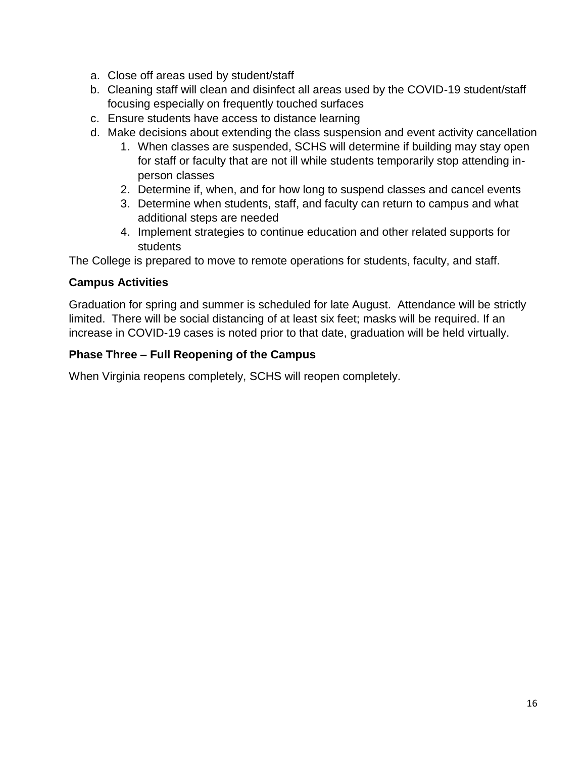- a. Close off areas used by student/staff
- b. Cleaning staff will clean and disinfect all areas used by the COVID-19 student/staff focusing especially on frequently touched surfaces
- c. Ensure students have access to distance learning
- d. Make decisions about extending the class suspension and event activity cancellation
	- 1. When classes are suspended, SCHS will determine if building may stay open for staff or faculty that are not ill while students temporarily stop attending inperson classes
	- 2. Determine if, when, and for how long to suspend classes and cancel events
	- 3. Determine when students, staff, and faculty can return to campus and what additional steps are needed
	- 4. Implement strategies to continue education and other related supports for students

The College is prepared to move to remote operations for students, faculty, and staff.

## **Campus Activities**

Graduation for spring and summer is scheduled for late August. Attendance will be strictly limited. There will be social distancing of at least six feet; masks will be required. If an increase in COVID-19 cases is noted prior to that date, graduation will be held virtually.

## **Phase Three – Full Reopening of the Campus**

When Virginia reopens completely, SCHS will reopen completely.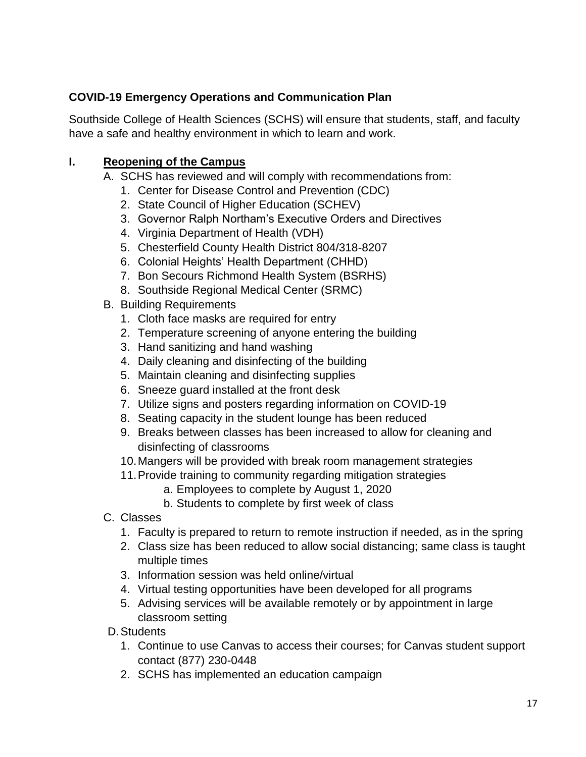## **COVID-19 Emergency Operations and Communication Plan**

Southside College of Health Sciences (SCHS) will ensure that students, staff, and faculty have a safe and healthy environment in which to learn and work.

## **I. Reopening of the Campus**

- A. SCHS has reviewed and will comply with recommendations from:
	- 1. Center for Disease Control and Prevention (CDC)
	- 2. State Council of Higher Education (SCHEV)
	- 3. Governor Ralph Northam's Executive Orders and Directives
	- 4. Virginia Department of Health (VDH)
	- 5. Chesterfield County Health District 804/318-8207
	- 6. Colonial Heights' Health Department (CHHD)
	- 7. Bon Secours Richmond Health System (BSRHS)
	- 8. Southside Regional Medical Center (SRMC)
- B. Building Requirements
	- 1. Cloth face masks are required for entry
	- 2. Temperature screening of anyone entering the building
	- 3. Hand sanitizing and hand washing
	- 4. Daily cleaning and disinfecting of the building
	- 5. Maintain cleaning and disinfecting supplies
	- 6. Sneeze guard installed at the front desk
	- 7. Utilize signs and posters regarding information on COVID-19
	- 8. Seating capacity in the student lounge has been reduced
	- 9. Breaks between classes has been increased to allow for cleaning and disinfecting of classrooms
	- 10.Mangers will be provided with break room management strategies
	- 11.Provide training to community regarding mitigation strategies
		- a. Employees to complete by August 1, 2020
		- b. Students to complete by first week of class
- C. Classes
	- 1. Faculty is prepared to return to remote instruction if needed, as in the spring
	- 2. Class size has been reduced to allow social distancing; same class is taught multiple times
	- 3. Information session was held online/virtual
	- 4. Virtual testing opportunities have been developed for all programs
	- 5. Advising services will be available remotely or by appointment in large classroom setting
- D.Students
	- 1. Continue to use Canvas to access their courses; for Canvas student support contact (877) 230-0448
	- 2. SCHS has implemented an education campaign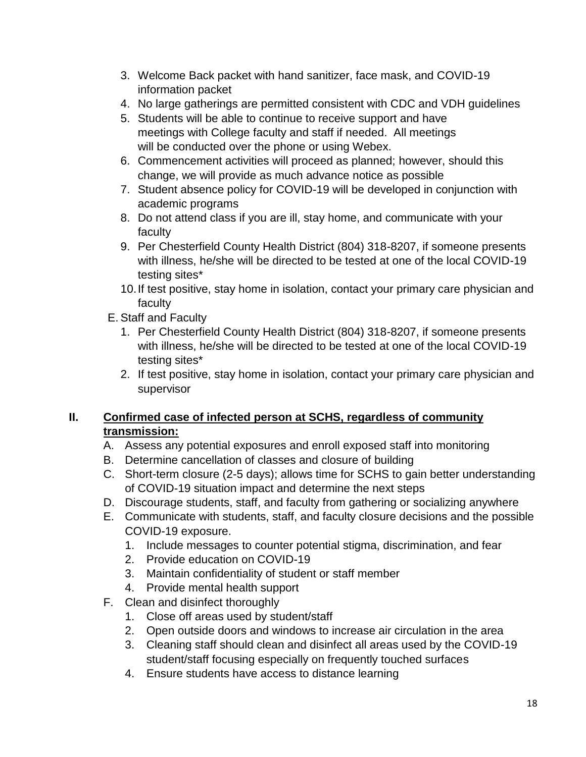- 3. Welcome Back packet with hand sanitizer, face mask, and COVID-19 information packet
- 4. No large gatherings are permitted consistent with CDC and VDH guidelines
- 5. Students will be able to continue to receive support and have meetings with College faculty and staff if needed. All meetings will be conducted over the phone or using Webex.
- 6. Commencement activities will proceed as planned; however, should this change, we will provide as much advance notice as possible
- 7. Student absence policy for COVID-19 will be developed in conjunction with academic programs
- 8. Do not attend class if you are ill, stay home, and communicate with your faculty
- 9. Per Chesterfield County Health District (804) 318-8207, if someone presents with illness, he/she will be directed to be tested at one of the local COVID-19 testing sites\*
- 10.If test positive, stay home in isolation, contact your primary care physician and faculty
- E. Staff and Faculty
	- 1. Per Chesterfield County Health District (804) 318-8207, if someone presents with illness, he/she will be directed to be tested at one of the local COVID-19 testing sites\*
	- 2. If test positive, stay home in isolation, contact your primary care physician and supervisor

## **II. Confirmed case of infected person at SCHS, regardless of community transmission:**

- A. Assess any potential exposures and enroll exposed staff into monitoring
- B. Determine cancellation of classes and closure of building
- C. Short-term closure (2-5 days); allows time for SCHS to gain better understanding of COVID-19 situation impact and determine the next steps
- D. Discourage students, staff, and faculty from gathering or socializing anywhere
- E. Communicate with students, staff, and faculty closure decisions and the possible COVID-19 exposure.
	- 1. Include messages to counter potential stigma, discrimination, and fear
	- 2. Provide education on COVID-19
	- 3. Maintain confidentiality of student or staff member
	- 4. Provide mental health support
- F. Clean and disinfect thoroughly
	- 1. Close off areas used by student/staff
	- 2. Open outside doors and windows to increase air circulation in the area
	- 3. Cleaning staff should clean and disinfect all areas used by the COVID-19 student/staff focusing especially on frequently touched surfaces
	- 4. Ensure students have access to distance learning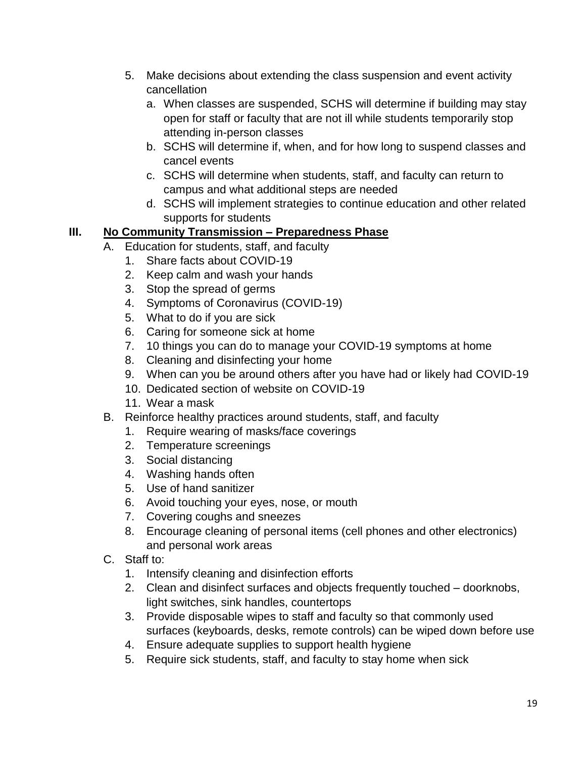- 5. Make decisions about extending the class suspension and event activity cancellation
	- a. When classes are suspended, SCHS will determine if building may stay open for staff or faculty that are not ill while students temporarily stop attending in-person classes
	- b. SCHS will determine if, when, and for how long to suspend classes and cancel events
	- c. SCHS will determine when students, staff, and faculty can return to campus and what additional steps are needed
	- d. SCHS will implement strategies to continue education and other related supports for students

## **III. No Community Transmission – Preparedness Phase**

- A. Education for students, staff, and faculty
	- 1. Share facts about COVID-19
	- 2. Keep calm and wash your hands
	- 3. Stop the spread of germs
	- 4. Symptoms of Coronavirus (COVID-19)
	- 5. What to do if you are sick
	- 6. Caring for someone sick at home
	- 7. 10 things you can do to manage your COVID-19 symptoms at home
	- 8. Cleaning and disinfecting your home
	- 9. When can you be around others after you have had or likely had COVID-19
	- 10. Dedicated section of website on COVID-19
	- 11. Wear a mask
- B. Reinforce healthy practices around students, staff, and faculty
	- 1. Require wearing of masks/face coverings
	- 2. Temperature screenings
	- 3. Social distancing
	- 4. Washing hands often
	- 5. Use of hand sanitizer
	- 6. Avoid touching your eyes, nose, or mouth
	- 7. Covering coughs and sneezes
	- 8. Encourage cleaning of personal items (cell phones and other electronics) and personal work areas
- C. Staff to:
	- 1. Intensify cleaning and disinfection efforts
	- 2. Clean and disinfect surfaces and objects frequently touched doorknobs, light switches, sink handles, countertops
	- 3. Provide disposable wipes to staff and faculty so that commonly used surfaces (keyboards, desks, remote controls) can be wiped down before use
	- 4. Ensure adequate supplies to support health hygiene
	- 5. Require sick students, staff, and faculty to stay home when sick